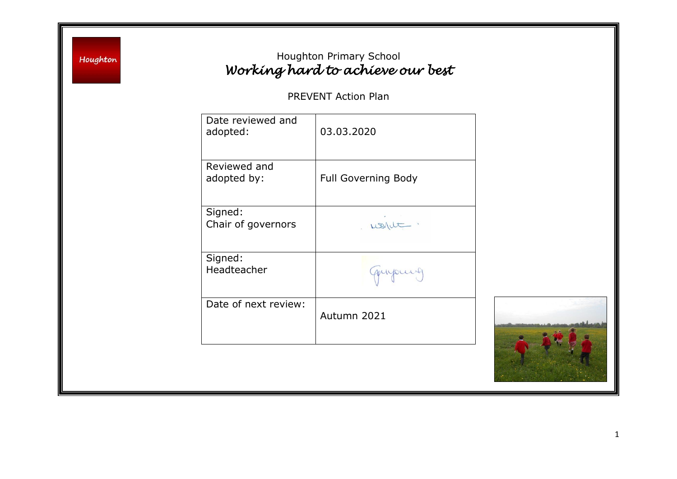Houghton

## Houghton Primary School *Working hard to achieve our best*

PREVENT Action Plan

| Date reviewed and<br>adopted: | 03.03.2020                 |
|-------------------------------|----------------------------|
| Reviewed and<br>adopted by:   | <b>Full Governing Body</b> |
| Signed:<br>Chair of governors |                            |
| Signed:<br>Headteacher        | quipuis                    |
| Date of next review:          | Autumn 2021                |

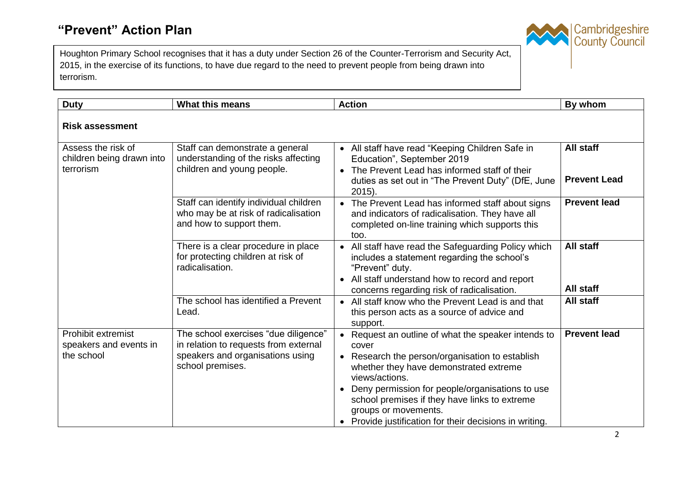Houghton Primary School recognises that it has a duty under Section 26 of the Counter-Terrorism and Security Act, 2015, in the exercise of its functions, to have due regard to the need to prevent people from being drawn into terrorism.

| <b>Duty</b>                                                       | <b>What this means</b>                                                                                                                | <b>Action</b>                                                                                                                                                                                                                                                                                                                                                                   | By whom                                 |
|-------------------------------------------------------------------|---------------------------------------------------------------------------------------------------------------------------------------|---------------------------------------------------------------------------------------------------------------------------------------------------------------------------------------------------------------------------------------------------------------------------------------------------------------------------------------------------------------------------------|-----------------------------------------|
| <b>Risk assessment</b>                                            |                                                                                                                                       |                                                                                                                                                                                                                                                                                                                                                                                 |                                         |
| Assess the risk of<br>children being drawn into<br>terrorism      | Staff can demonstrate a general<br>understanding of the risks affecting<br>children and young people.                                 | • All staff have read "Keeping Children Safe in<br>Education", September 2019<br>• The Prevent Lead has informed staff of their<br>duties as set out in "The Prevent Duty" (DfE, June<br>$2015$ ).                                                                                                                                                                              | <b>All staff</b><br><b>Prevent Lead</b> |
|                                                                   | Staff can identify individual children<br>who may be at risk of radicalisation<br>and how to support them.                            | • The Prevent Lead has informed staff about signs<br>and indicators of radicalisation. They have all<br>completed on-line training which supports this<br>too.                                                                                                                                                                                                                  | <b>Prevent lead</b>                     |
|                                                                   | There is a clear procedure in place<br>for protecting children at risk of<br>radicalisation.                                          | • All staff have read the Safeguarding Policy which<br>includes a statement regarding the school's<br>"Prevent" duty.<br>• All staff understand how to record and report<br>concerns regarding risk of radicalisation.                                                                                                                                                          | <b>All staff</b><br><b>All staff</b>    |
|                                                                   | The school has identified a Prevent<br>Lead.                                                                                          | • All staff know who the Prevent Lead is and that<br>this person acts as a source of advice and<br>support.                                                                                                                                                                                                                                                                     | <b>All staff</b>                        |
| <b>Prohibit extremist</b><br>speakers and events in<br>the school | The school exercises "due diligence"<br>in relation to requests from external<br>speakers and organisations using<br>school premises. | • Request an outline of what the speaker intends to<br>cover<br>• Research the person/organisation to establish<br>whether they have demonstrated extreme<br>views/actions.<br>Deny permission for people/organisations to use<br>$\bullet$<br>school premises if they have links to extreme<br>groups or movements.<br>• Provide justification for their decisions in writing. | <b>Prevent lead</b>                     |

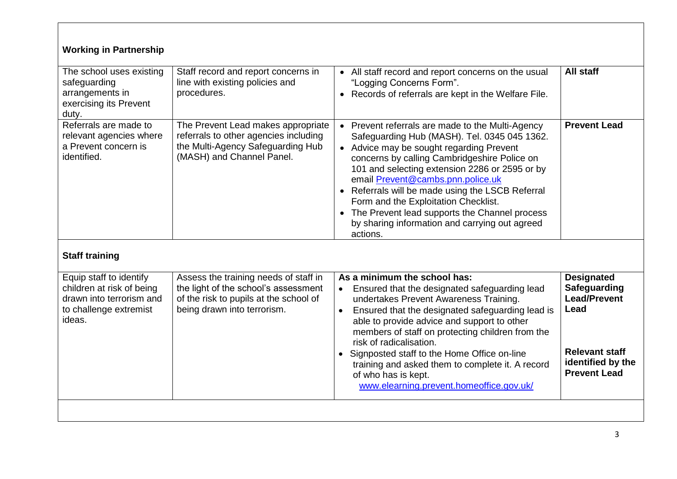| <b>Working in Partnership</b>                                                                                        |                                                                                                                                                        |                                                                                                                                                                                                                                                                                                                                                                                                                                                                                                             |                                                                   |  |  |
|----------------------------------------------------------------------------------------------------------------------|--------------------------------------------------------------------------------------------------------------------------------------------------------|-------------------------------------------------------------------------------------------------------------------------------------------------------------------------------------------------------------------------------------------------------------------------------------------------------------------------------------------------------------------------------------------------------------------------------------------------------------------------------------------------------------|-------------------------------------------------------------------|--|--|
| The school uses existing<br>safeguarding<br>arrangements in<br>exercising its Prevent<br>duty.                       | Staff record and report concerns in<br>line with existing policies and<br>procedures.                                                                  | • All staff record and report concerns on the usual<br>"Logging Concerns Form".<br>• Records of referrals are kept in the Welfare File.                                                                                                                                                                                                                                                                                                                                                                     | All staff                                                         |  |  |
| Referrals are made to<br>relevant agencies where<br>a Prevent concern is<br>identified.                              | The Prevent Lead makes appropriate<br>referrals to other agencies including<br>the Multi-Agency Safeguarding Hub<br>(MASH) and Channel Panel.          | Prevent referrals are made to the Multi-Agency<br>$\bullet$<br>Safeguarding Hub (MASH). Tel. 0345 045 1362.<br>• Advice may be sought regarding Prevent<br>concerns by calling Cambridgeshire Police on<br>101 and selecting extension 2286 or 2595 or by<br>email Prevent@cambs.pnn.police.uk<br>• Referrals will be made using the LSCB Referral<br>Form and the Exploitation Checklist.<br>• The Prevent lead supports the Channel process<br>by sharing information and carrying out agreed<br>actions. | <b>Prevent Lead</b>                                               |  |  |
| <b>Staff training</b>                                                                                                |                                                                                                                                                        |                                                                                                                                                                                                                                                                                                                                                                                                                                                                                                             |                                                                   |  |  |
| Equip staff to identify<br>children at risk of being<br>drawn into terrorism and<br>to challenge extremist<br>ideas. | Assess the training needs of staff in<br>the light of the school's assessment<br>of the risk to pupils at the school of<br>being drawn into terrorism. | As a minimum the school has:<br>Ensured that the designated safeguarding lead<br>$\bullet$<br>undertakes Prevent Awareness Training.<br>Ensured that the designated safeguarding lead is<br>able to provide advice and support to other<br>members of staff on protecting children from the<br>risk of radicalisation.                                                                                                                                                                                      | <b>Designated</b><br>Safeguarding<br><b>Lead/Prevent</b><br>Lead  |  |  |
|                                                                                                                      |                                                                                                                                                        | • Signposted staff to the Home Office on-line<br>training and asked them to complete it. A record<br>of who has is kept.<br>www.elearning.prevent.homeoffice.gov.uk/                                                                                                                                                                                                                                                                                                                                        | <b>Relevant staff</b><br>identified by the<br><b>Prevent Lead</b> |  |  |
|                                                                                                                      |                                                                                                                                                        |                                                                                                                                                                                                                                                                                                                                                                                                                                                                                                             |                                                                   |  |  |

ा